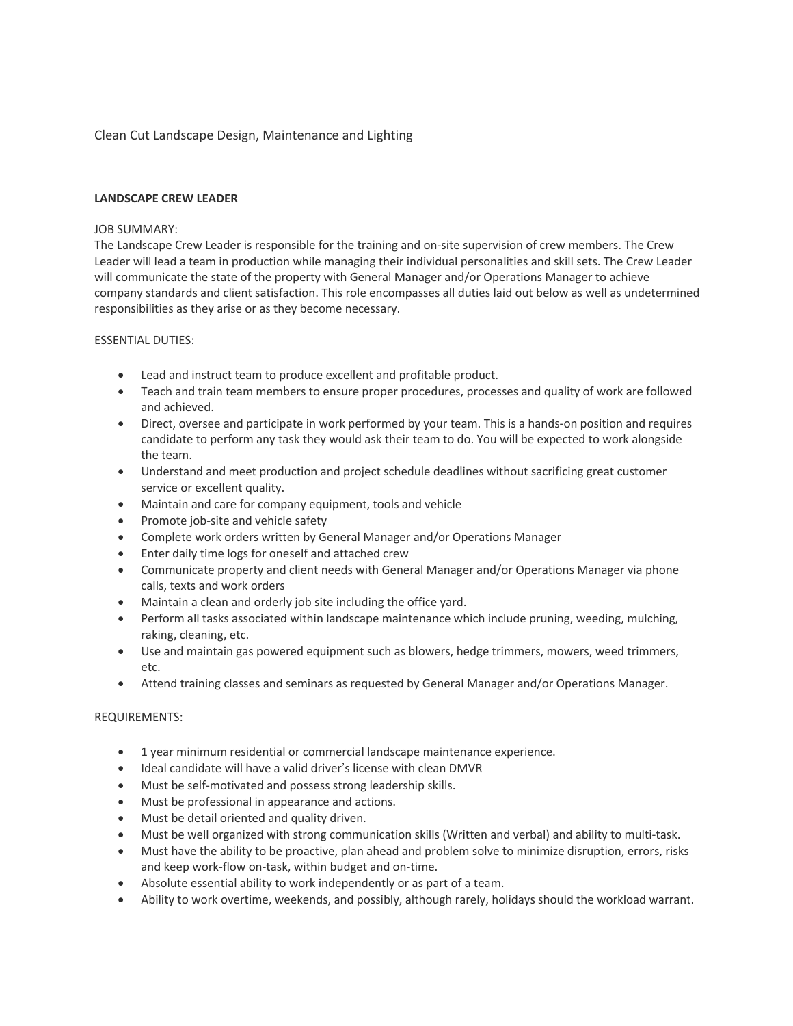# Clean Cut Landscape Design, Maintenance and Lighting

## **LANDSCAPE CREW LEADER**

## JOB SUMMARY:

The Landscape Crew Leader is responsible for the training and on-site supervision of crew members. The Crew Leader will lead a team in production while managing their individual personalities and skill sets. The Crew Leader will communicate the state of the property with General Manager and/or Operations Manager to achieve company standards and client satisfaction. This role encompasses all duties laid out below as well as undetermined responsibilities as they arise or as they become necessary.

## ESSENTIAL DUTIES:

- Lead and instruct team to produce excellent and profitable product.
- Teach and train team members to ensure proper procedures, processes and quality of work are followed and achieved.
- Direct, oversee and participate in work performed by your team. This is a hands-on position and requires candidate to perform any task they would ask their team to do. You will be expected to work alongside the team.
- Understand and meet production and project schedule deadlines without sacrificing great customer service or excellent quality.
- Maintain and care for company equipment, tools and vehicle
- Promote job-site and vehicle safety
- Complete work orders written by General Manager and/or Operations Manager
- Enter daily time logs for oneself and attached crew
- Communicate property and client needs with General Manager and/or Operations Manager via phone calls, texts and work orders
- Maintain a clean and orderly job site including the office yard.
- Perform all tasks associated within landscape maintenance which include pruning, weeding, mulching, raking, cleaning, etc.
- Use and maintain gas powered equipment such as blowers, hedge trimmers, mowers, weed trimmers, etc.
- Attend training classes and seminars as requested by General Manager and/or Operations Manager.

### REQUIREMENTS:

- 1 year minimum residential or commercial landscape maintenance experience.
- Ideal candidate will have a valid driver's license with clean DMVR
- Must be self-motivated and possess strong leadership skills.
- Must be professional in appearance and actions.
- Must be detail oriented and quality driven.
- Must be well organized with strong communication skills (Written and verbal) and ability to multi-task.
- Must have the ability to be proactive, plan ahead and problem solve to minimize disruption, errors, risks and keep work-flow on-task, within budget and on-time.
- Absolute essential ability to work independently or as part of a team.
- Ability to work overtime, weekends, and possibly, although rarely, holidays should the workload warrant.